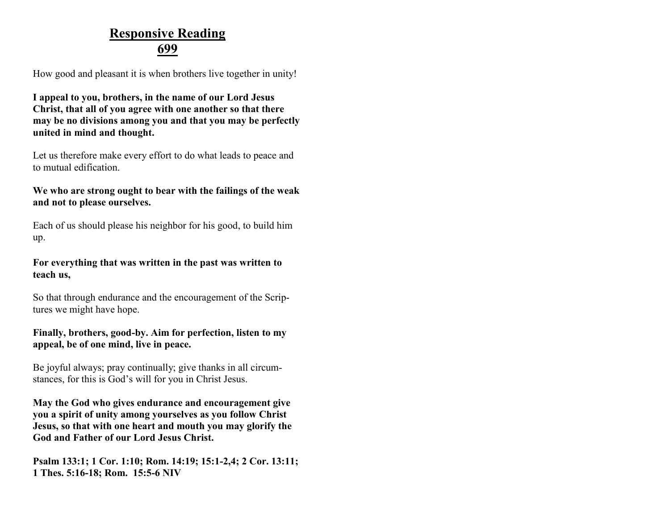### **Responsive Reading 699**

How good and pleasant it is when brothers live together in unity!

**I appeal to you, brothers, in the name of our Lord Jesus Christ, that all of you agree with one another so that there may be no divisions among you and that you may be perfectly united in mind and thought.**

Let us therefore make every effort to do what leads to peace and to mutual edification.

### **We who are strong ought to bear with the failings of the weak and not to please ourselves.**

Each of us should please his neighbor for his good, to build him up.

#### **For everything that was written in the past was written to teach us,**

So that through endurance and the encouragement of the Scriptures we might have hope.

#### **Finally, brothers, good-by. Aim for perfection, listen to my appeal, be of one mind, live in peace.**

Be joyful always; pray continually; give thanks in all circumstances, for this is God's will for you in Christ Jesus.

**May the God who gives endurance and encouragement give you a spirit of unity among yourselves as you follow Christ Jesus, so that with one heart and mouth you may glorify the God and Father of our Lord Jesus Christ.**

**Psalm 133:1; 1 Cor. 1:10; Rom. 14:19; 15:1-2,4; 2 Cor. 13:11; 1 Thes. 5:16-18; Rom. 15:5-6 NIV**